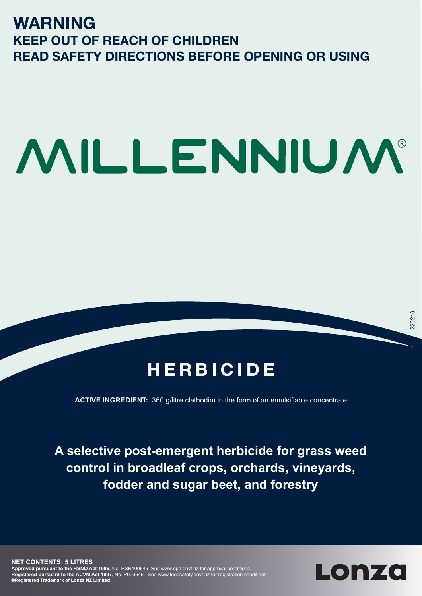# **WARNING KEEP OUT OF REACH OF CHILDREN READ SAFETY DIRECTIONS BEFORE OPENING OR USING**

# MILLENNIUM®

# **HERBICIDE**

**ACTIVE INGREDIENT:** 360 g/litre clethodim in the form of an emulsifiable concentrate

**A selective post-emergent herbicide for grass weed control in broadleaf crops, orchards, vineyards, fodder and sugar beet, and forestry**

**NET CONTENTS: 5 LITRES Approved pursuant to the HSNO Act 1996,** No. HSR100646. See www.epa.govt.nz for approval conditions. **Registered pursuant to the ACVM Act 1997,** No. P009645. See www.foodsafety.govt.nz for registration conditions. **®Registered Trademark of Lonza NZ Limited**